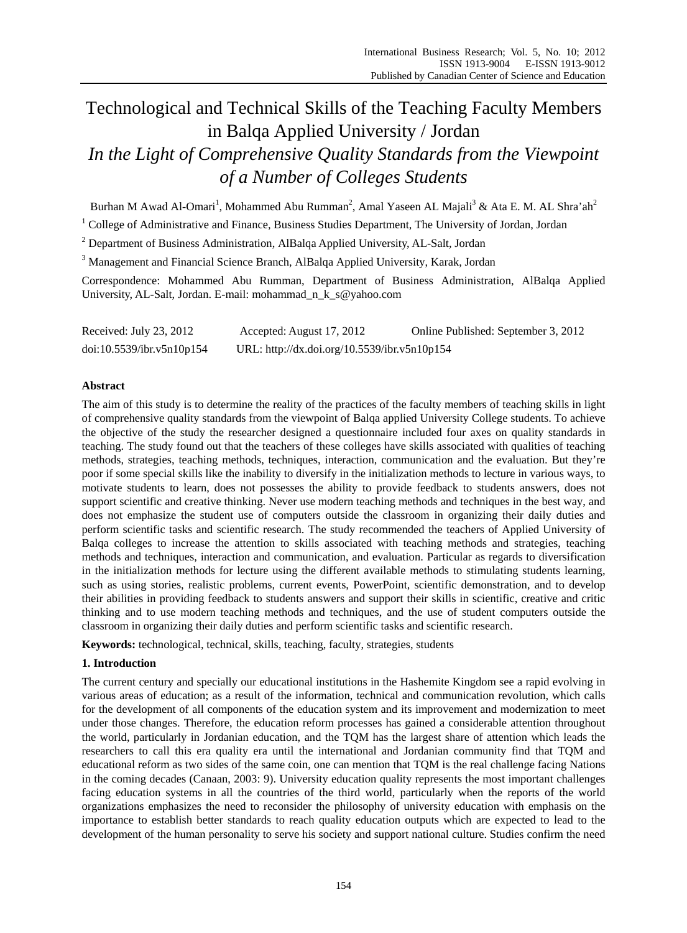# Technological and Technical Skills of the Teaching Faculty Members in Balqa Applied University / Jordan *In the Light of Comprehensive Quality Standards from the Viewpoint of a Number of Colleges Students*

Burhan M Awad Al-Omari<sup>1</sup>, Mohammed Abu Rumman<sup>2</sup>, Amal Yaseen AL Majali<sup>3</sup> & Ata E. M. AL Shra'ah<sup>2</sup>

<sup>1</sup> College of Administrative and Finance, Business Studies Department, The University of Jordan, Jordan

<sup>2</sup> Department of Business Administration, AlBalqa Applied University, AL-Salt, Jordan

<sup>3</sup> Management and Financial Science Branch, AlBalqa Applied University, Karak, Jordan

Correspondence: Mohammed Abu Rumman, Department of Business Administration, AlBalqa Applied University, AL-Salt, Jordan. E-mail: mohammad\_n\_k\_s@yahoo.com

| Received: July 23, 2012   | Accepted: August 17, 2012                    | Online Published: September 3, 2012 |
|---------------------------|----------------------------------------------|-------------------------------------|
| doi:10.5539/ibr.v5n10p154 | URL: http://dx.doi.org/10.5539/ibr.v5n10p154 |                                     |

# **Abstract**

The aim of this study is to determine the reality of the practices of the faculty members of teaching skills in light of comprehensive quality standards from the viewpoint of Balqa applied University College students. To achieve the objective of the study the researcher designed a questionnaire included four axes on quality standards in teaching. The study found out that the teachers of these colleges have skills associated with qualities of teaching methods, strategies, teaching methods, techniques, interaction, communication and the evaluation. But they're poor if some special skills like the inability to diversify in the initialization methods to lecture in various ways, to motivate students to learn, does not possesses the ability to provide feedback to students answers, does not support scientific and creative thinking. Never use modern teaching methods and techniques in the best way, and does not emphasize the student use of computers outside the classroom in organizing their daily duties and perform scientific tasks and scientific research. The study recommended the teachers of Applied University of Balqa colleges to increase the attention to skills associated with teaching methods and strategies, teaching methods and techniques, interaction and communication, and evaluation. Particular as regards to diversification in the initialization methods for lecture using the different available methods to stimulating students learning, such as using stories, realistic problems, current events, PowerPoint, scientific demonstration, and to develop their abilities in providing feedback to students answers and support their skills in scientific, creative and critic thinking and to use modern teaching methods and techniques, and the use of student computers outside the classroom in organizing their daily duties and perform scientific tasks and scientific research.

**Keywords:** technological, technical, skills, teaching, faculty, strategies, students

## **1. Introduction**

The current century and specially our educational institutions in the Hashemite Kingdom see a rapid evolving in various areas of education; as a result of the information, technical and communication revolution, which calls for the development of all components of the education system and its improvement and modernization to meet under those changes. Therefore, the education reform processes has gained a considerable attention throughout the world, particularly in Jordanian education, and the TQM has the largest share of attention which leads the researchers to call this era quality era until the international and Jordanian community find that TQM and educational reform as two sides of the same coin, one can mention that TQM is the real challenge facing Nations in the coming decades (Canaan, 2003: 9). University education quality represents the most important challenges facing education systems in all the countries of the third world, particularly when the reports of the world organizations emphasizes the need to reconsider the philosophy of university education with emphasis on the importance to establish better standards to reach quality education outputs which are expected to lead to the development of the human personality to serve his society and support national culture. Studies confirm the need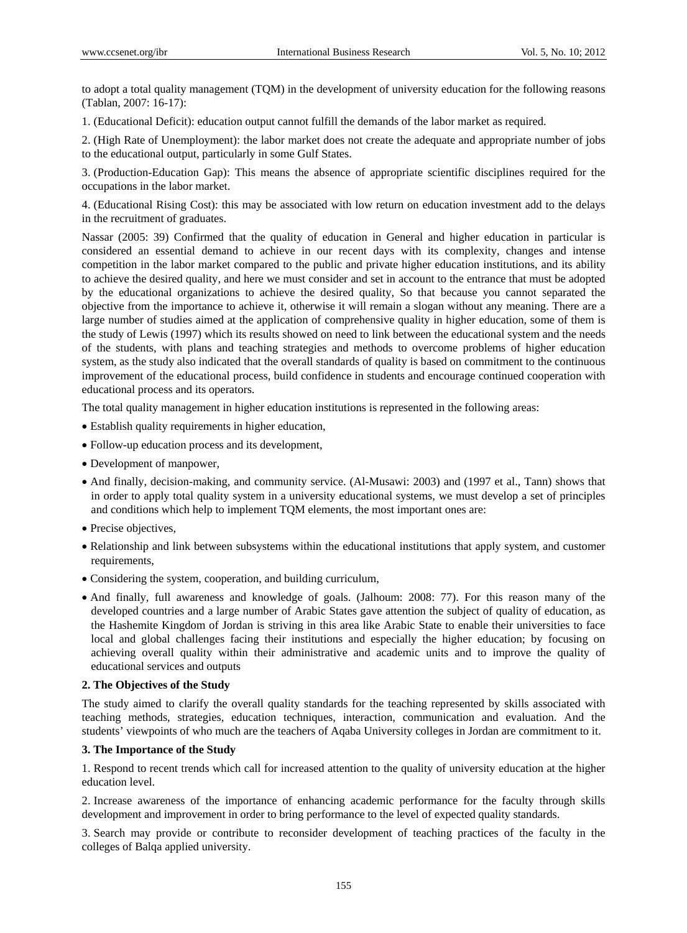to adopt a total quality management (TQM) in the development of university education for the following reasons (Tablan, 2007: 16-17):

1. (Educational Deficit): education output cannot fulfill the demands of the labor market as required.

2. (High Rate of Unemployment): the labor market does not create the adequate and appropriate number of jobs to the educational output, particularly in some Gulf States.

3. (Production-Education Gap): This means the absence of appropriate scientific disciplines required for the occupations in the labor market.

4. (Educational Rising Cost): this may be associated with low return on education investment add to the delays in the recruitment of graduates.

Nassar (2005: 39) Confirmed that the quality of education in General and higher education in particular is considered an essential demand to achieve in our recent days with its complexity, changes and intense competition in the labor market compared to the public and private higher education institutions, and its ability to achieve the desired quality, and here we must consider and set in account to the entrance that must be adopted by the educational organizations to achieve the desired quality, So that because you cannot separated the objective from the importance to achieve it, otherwise it will remain a slogan without any meaning. There are a large number of studies aimed at the application of comprehensive quality in higher education, some of them is the study of Lewis (1997) which its results showed on need to link between the educational system and the needs of the students, with plans and teaching strategies and methods to overcome problems of higher education system, as the study also indicated that the overall standards of quality is based on commitment to the continuous improvement of the educational process, build confidence in students and encourage continued cooperation with educational process and its operators.

The total quality management in higher education institutions is represented in the following areas:

- Establish quality requirements in higher education,
- Follow-up education process and its development,
- Development of manpower,
- And finally, decision-making, and community service. (Al-Musawi: 2003) and (1997 et al., Tann) shows that in order to apply total quality system in a university educational systems, we must develop a set of principles and conditions which help to implement TQM elements, the most important ones are:
- Precise objectives,
- Relationship and link between subsystems within the educational institutions that apply system, and customer requirements,
- Considering the system, cooperation, and building curriculum,
- And finally, full awareness and knowledge of goals. (Jalhoum: 2008: 77). For this reason many of the developed countries and a large number of Arabic States gave attention the subject of quality of education, as the Hashemite Kingdom of Jordan is striving in this area like Arabic State to enable their universities to face local and global challenges facing their institutions and especially the higher education; by focusing on achieving overall quality within their administrative and academic units and to improve the quality of educational services and outputs

## **2. The Objectives of the Study**

The study aimed to clarify the overall quality standards for the teaching represented by skills associated with teaching methods, strategies, education techniques, interaction, communication and evaluation. And the students' viewpoints of who much are the teachers of Aqaba University colleges in Jordan are commitment to it.

## **3. The Importance of the Study**

1. Respond to recent trends which call for increased attention to the quality of university education at the higher education level.

2. Increase awareness of the importance of enhancing academic performance for the faculty through skills development and improvement in order to bring performance to the level of expected quality standards.

3. Search may provide or contribute to reconsider development of teaching practices of the faculty in the colleges of Balqa applied university.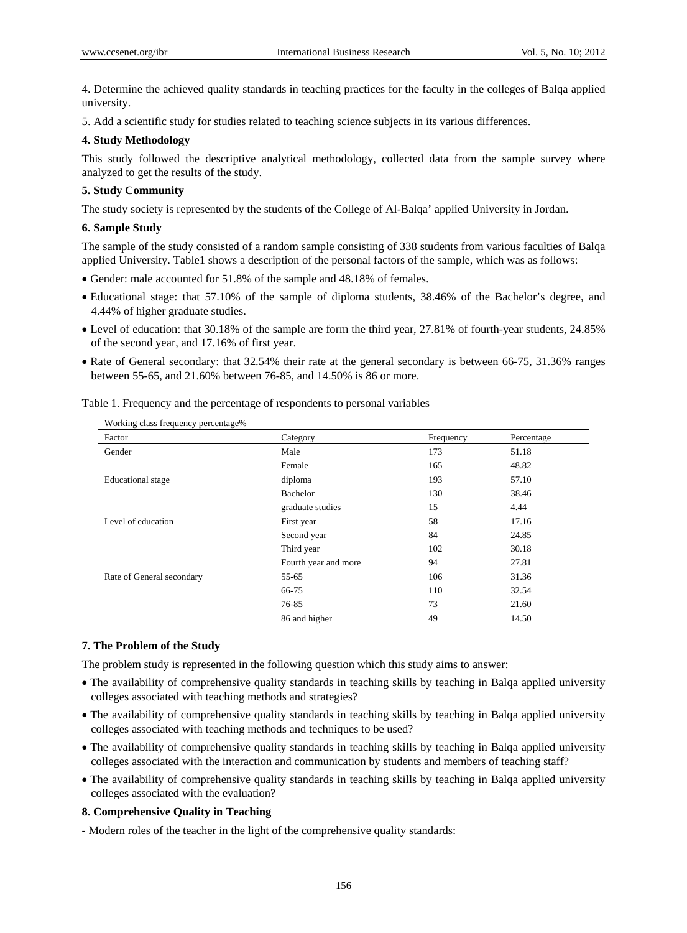4. Determine the achieved quality standards in teaching practices for the faculty in the colleges of Balqa applied university.

5. Add a scientific study for studies related to teaching science subjects in its various differences.

#### **4. Study Methodology**

This study followed the descriptive analytical methodology, collected data from the sample survey where analyzed to get the results of the study.

## **5. Study Community**

The study society is represented by the students of the College of Al-Balqa' applied University in Jordan.

#### **6. Sample Study**

The sample of the study consisted of a random sample consisting of 338 students from various faculties of Balqa applied University. Table1 shows a description of the personal factors of the sample, which was as follows:

- Gender: male accounted for 51.8% of the sample and 48.18% of females.
- Educational stage: that 57.10% of the sample of diploma students, 38.46% of the Bachelor's degree, and 4.44% of higher graduate studies.
- Level of education: that 30.18% of the sample are form the third year, 27.81% of fourth-year students, 24.85% of the second year, and 17.16% of first year.
- Rate of General secondary: that 32.54% their rate at the general secondary is between 66-75, 31.36% ranges between 55-65, and 21.60% between 76-85, and 14.50% is 86 or more.

| Working class frequency percentage% |                      |           |            |  |  |
|-------------------------------------|----------------------|-----------|------------|--|--|
| Factor                              | Category             | Frequency | Percentage |  |  |
| Gender                              | Male                 | 173       | 51.18      |  |  |
|                                     | Female               | 165       | 48.82      |  |  |
| Educational stage                   | diploma              | 193       | 57.10      |  |  |
|                                     | Bachelor             | 130       | 38.46      |  |  |
|                                     | graduate studies     | 15        | 4.44       |  |  |
| Level of education                  | First year           | 58        | 17.16      |  |  |
|                                     | Second year          | 84        | 24.85      |  |  |
|                                     | Third year           | 102       | 30.18      |  |  |
|                                     | Fourth year and more | 94        | 27.81      |  |  |
| Rate of General secondary           | 55-65                | 106       | 31.36      |  |  |
|                                     | 66-75                | 110       | 32.54      |  |  |
|                                     | 76-85                | 73        | 21.60      |  |  |
|                                     | 86 and higher        | 49        | 14.50      |  |  |

Table 1. Frequency and the percentage of respondents to personal variables

#### **7. The Problem of the Study**

The problem study is represented in the following question which this study aims to answer:

- The availability of comprehensive quality standards in teaching skills by teaching in Balqa applied university colleges associated with teaching methods and strategies?
- The availability of comprehensive quality standards in teaching skills by teaching in Balqa applied university colleges associated with teaching methods and techniques to be used?
- The availability of comprehensive quality standards in teaching skills by teaching in Balqa applied university colleges associated with the interaction and communication by students and members of teaching staff?
- The availability of comprehensive quality standards in teaching skills by teaching in Balqa applied university colleges associated with the evaluation?

## **8. Comprehensive Quality in Teaching**

- Modern roles of the teacher in the light of the comprehensive quality standards: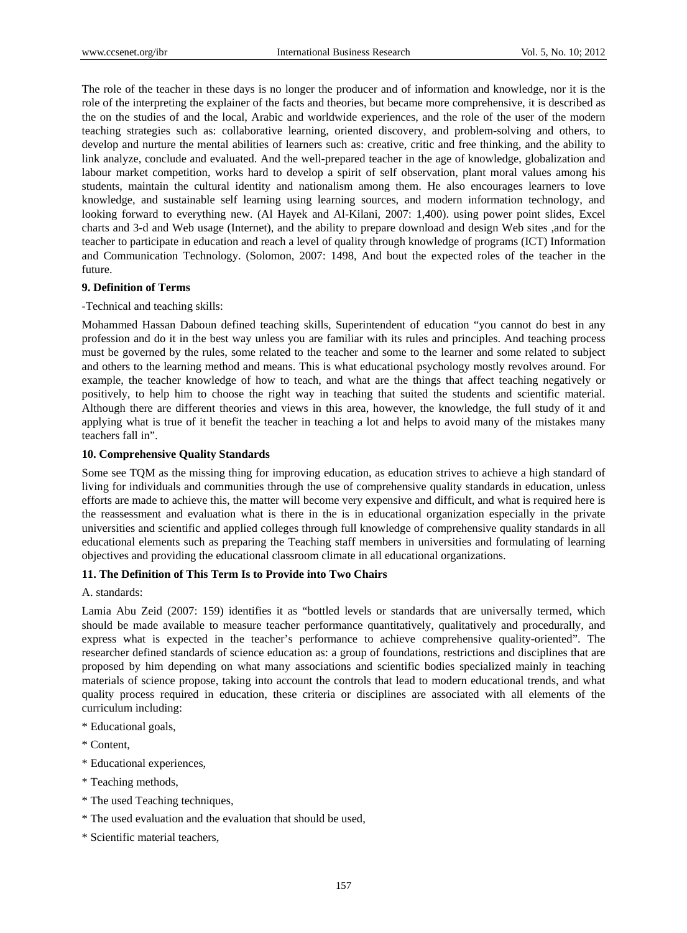The role of the teacher in these days is no longer the producer and of information and knowledge, nor it is the role of the interpreting the explainer of the facts and theories, but became more comprehensive, it is described as the on the studies of and the local, Arabic and worldwide experiences, and the role of the user of the modern teaching strategies such as: collaborative learning, oriented discovery, and problem-solving and others, to develop and nurture the mental abilities of learners such as: creative, critic and free thinking, and the ability to link analyze, conclude and evaluated. And the well-prepared teacher in the age of knowledge, globalization and labour market competition, works hard to develop a spirit of self observation, plant moral values among his students, maintain the cultural identity and nationalism among them. He also encourages learners to love knowledge, and sustainable self learning using learning sources, and modern information technology, and looking forward to everything new. (Al Hayek and Al-Kilani, 2007: 1,400). using power point slides, Excel charts and 3-d and Web usage (Internet), and the ability to prepare download and design Web sites ,and for the teacher to participate in education and reach a level of quality through knowledge of programs (ICT) Information and Communication Technology. (Solomon, 2007: 1498, And bout the expected roles of the teacher in the future.

## **9. Definition of Terms**

## -Technical and teaching skills:

Mohammed Hassan Daboun defined teaching skills, Superintendent of education "you cannot do best in any profession and do it in the best way unless you are familiar with its rules and principles. And teaching process must be governed by the rules, some related to the teacher and some to the learner and some related to subject and others to the learning method and means. This is what educational psychology mostly revolves around. For example, the teacher knowledge of how to teach, and what are the things that affect teaching negatively or positively, to help him to choose the right way in teaching that suited the students and scientific material. Although there are different theories and views in this area, however, the knowledge, the full study of it and applying what is true of it benefit the teacher in teaching a lot and helps to avoid many of the mistakes many teachers fall in".

## **10. Comprehensive Quality Standards**

Some see TQM as the missing thing for improving education, as education strives to achieve a high standard of living for individuals and communities through the use of comprehensive quality standards in education, unless efforts are made to achieve this, the matter will become very expensive and difficult, and what is required here is the reassessment and evaluation what is there in the is in educational organization especially in the private universities and scientific and applied colleges through full knowledge of comprehensive quality standards in all educational elements such as preparing the Teaching staff members in universities and formulating of learning objectives and providing the educational classroom climate in all educational organizations.

# **11. The Definition of This Term Is to Provide into Two Chairs**

## A. standards:

Lamia Abu Zeid (2007: 159) identifies it as "bottled levels or standards that are universally termed, which should be made available to measure teacher performance quantitatively, qualitatively and procedurally, and express what is expected in the teacher's performance to achieve comprehensive quality-oriented". The researcher defined standards of science education as: a group of foundations, restrictions and disciplines that are proposed by him depending on what many associations and scientific bodies specialized mainly in teaching materials of science propose, taking into account the controls that lead to modern educational trends, and what quality process required in education, these criteria or disciplines are associated with all elements of the curriculum including:

- \* Educational goals,
- \* Content,
- \* Educational experiences,
- \* Teaching methods,
- \* The used Teaching techniques,
- \* The used evaluation and the evaluation that should be used,
- \* Scientific material teachers,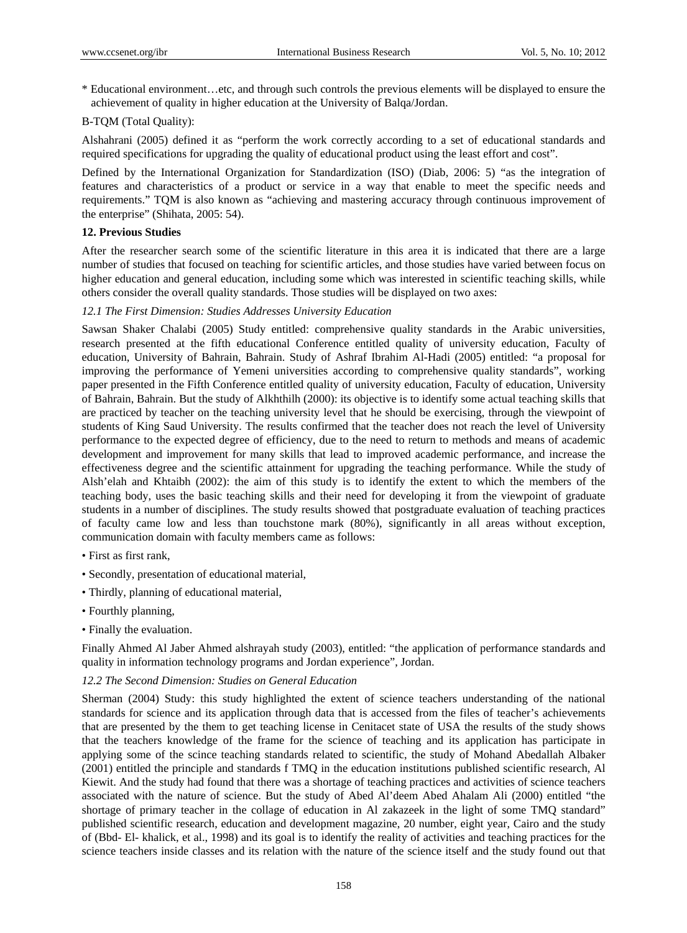\* Educational environment…etc, and through such controls the previous elements will be displayed to ensure the achievement of quality in higher education at the University of Balqa/Jordan.

# B-TQM (Total Quality):

Alshahrani (2005) defined it as "perform the work correctly according to a set of educational standards and required specifications for upgrading the quality of educational product using the least effort and cost".

Defined by the International Organization for Standardization (ISO) (Diab, 2006: 5) "as the integration of features and characteristics of a product or service in a way that enable to meet the specific needs and requirements." TQM is also known as "achieving and mastering accuracy through continuous improvement of the enterprise" (Shihata, 2005: 54).

# **12. Previous Studies**

After the researcher search some of the scientific literature in this area it is indicated that there are a large number of studies that focused on teaching for scientific articles, and those studies have varied between focus on higher education and general education, including some which was interested in scientific teaching skills, while others consider the overall quality standards. Those studies will be displayed on two axes:

# *12.1 The First Dimension: Studies Addresses University Education*

Sawsan Shaker Chalabi (2005) Study entitled: comprehensive quality standards in the Arabic universities, research presented at the fifth educational Conference entitled quality of university education, Faculty of education, University of Bahrain, Bahrain. Study of Ashraf Ibrahim Al-Hadi (2005) entitled: "a proposal for improving the performance of Yemeni universities according to comprehensive quality standards", working paper presented in the Fifth Conference entitled quality of university education, Faculty of education, University of Bahrain, Bahrain. But the study of Alkhthilh (2000): its objective is to identify some actual teaching skills that are practiced by teacher on the teaching university level that he should be exercising, through the viewpoint of students of King Saud University. The results confirmed that the teacher does not reach the level of University performance to the expected degree of efficiency, due to the need to return to methods and means of academic development and improvement for many skills that lead to improved academic performance, and increase the effectiveness degree and the scientific attainment for upgrading the teaching performance. While the study of Alsh'elah and Khtaibh (2002): the aim of this study is to identify the extent to which the members of the teaching body, uses the basic teaching skills and their need for developing it from the viewpoint of graduate students in a number of disciplines. The study results showed that postgraduate evaluation of teaching practices of faculty came low and less than touchstone mark (80%), significantly in all areas without exception, communication domain with faculty members came as follows:

- First as first rank,
- Secondly, presentation of educational material,
- Thirdly, planning of educational material,
- Fourthly planning,
- Finally the evaluation.

Finally Ahmed Al Jaber Ahmed alshrayah study (2003), entitled: "the application of performance standards and quality in information technology programs and Jordan experience", Jordan.

## *12.2 The Second Dimension: Studies on General Education*

Sherman (2004) Study: this study highlighted the extent of science teachers understanding of the national standards for science and its application through data that is accessed from the files of teacher's achievements that are presented by the them to get teaching license in Cenitacet state of USA the results of the study shows that the teachers knowledge of the frame for the science of teaching and its application has participate in applying some of the scince teaching standards related to scientific, the study of Mohand Abedallah Albaker (2001) entitled the principle and standards f TMQ in the education institutions published scientific research, Al Kiewit. And the study had found that there was a shortage of teaching practices and activities of science teachers associated with the nature of science. But the study of Abed Al'deem Abed Ahalam Ali (2000) entitled "the shortage of primary teacher in the collage of education in Al zakazeek in the light of some TMQ standard" published scientific research, education and development magazine, 20 number, eight year, Cairo and the study of (Bbd- El- khalick, et al., 1998) and its goal is to identify the reality of activities and teaching practices for the science teachers inside classes and its relation with the nature of the science itself and the study found out that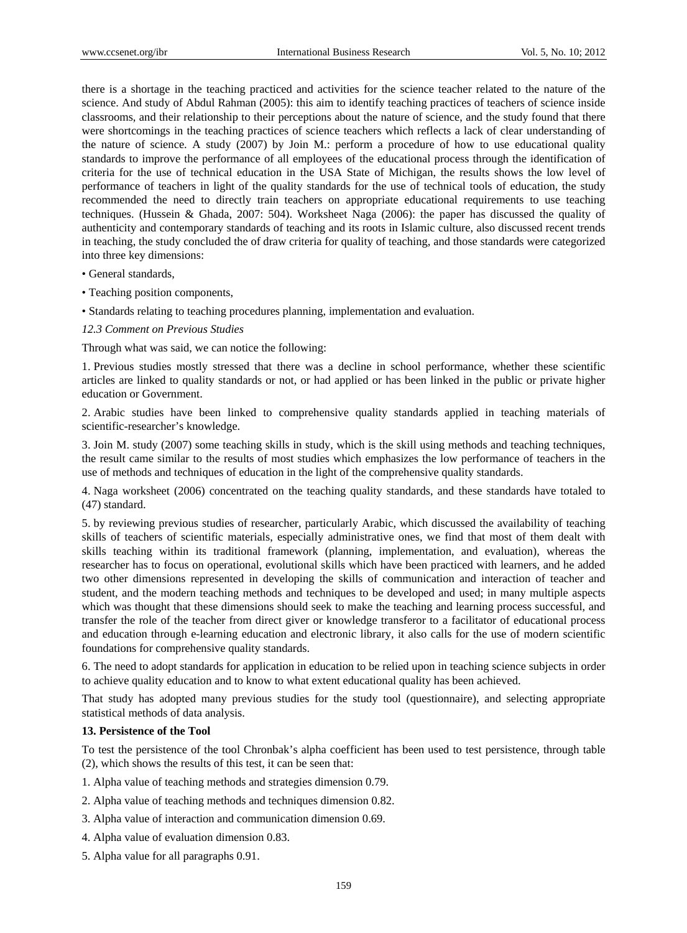there is a shortage in the teaching practiced and activities for the science teacher related to the nature of the science. And study of Abdul Rahman (2005): this aim to identify teaching practices of teachers of science inside classrooms, and their relationship to their perceptions about the nature of science, and the study found that there were shortcomings in the teaching practices of science teachers which reflects a lack of clear understanding of the nature of science. A study (2007) by Join M.: perform a procedure of how to use educational quality standards to improve the performance of all employees of the educational process through the identification of criteria for the use of technical education in the USA State of Michigan, the results shows the low level of performance of teachers in light of the quality standards for the use of technical tools of education, the study recommended the need to directly train teachers on appropriate educational requirements to use teaching techniques. (Hussein & Ghada, 2007: 504). Worksheet Naga (2006): the paper has discussed the quality of authenticity and contemporary standards of teaching and its roots in Islamic culture, also discussed recent trends in teaching, the study concluded the of draw criteria for quality of teaching, and those standards were categorized into three key dimensions:

- General standards,
- Teaching position components,
- Standards relating to teaching procedures planning, implementation and evaluation.

## *12.3 Comment on Previous Studies*

Through what was said, we can notice the following:

1. Previous studies mostly stressed that there was a decline in school performance, whether these scientific articles are linked to quality standards or not, or had applied or has been linked in the public or private higher education or Government.

2. Arabic studies have been linked to comprehensive quality standards applied in teaching materials of scientific-researcher's knowledge.

3. Join M. study (2007) some teaching skills in study, which is the skill using methods and teaching techniques, the result came similar to the results of most studies which emphasizes the low performance of teachers in the use of methods and techniques of education in the light of the comprehensive quality standards.

4. Naga worksheet (2006) concentrated on the teaching quality standards, and these standards have totaled to (47) standard.

5. by reviewing previous studies of researcher, particularly Arabic, which discussed the availability of teaching skills of teachers of scientific materials, especially administrative ones, we find that most of them dealt with skills teaching within its traditional framework (planning, implementation, and evaluation), whereas the researcher has to focus on operational, evolutional skills which have been practiced with learners, and he added two other dimensions represented in developing the skills of communication and interaction of teacher and student, and the modern teaching methods and techniques to be developed and used; in many multiple aspects which was thought that these dimensions should seek to make the teaching and learning process successful, and transfer the role of the teacher from direct giver or knowledge transferor to a facilitator of educational process and education through e-learning education and electronic library, it also calls for the use of modern scientific foundations for comprehensive quality standards.

6. The need to adopt standards for application in education to be relied upon in teaching science subjects in order to achieve quality education and to know to what extent educational quality has been achieved.

That study has adopted many previous studies for the study tool (questionnaire), and selecting appropriate statistical methods of data analysis.

## **13. Persistence of the Tool**

To test the persistence of the tool Chronbak's alpha coefficient has been used to test persistence, through table (2), which shows the results of this test, it can be seen that:

1. Alpha value of teaching methods and strategies dimension 0.79.

- 2. Alpha value of teaching methods and techniques dimension 0.82.
- 3. Alpha value of interaction and communication dimension 0.69.
- 4. Alpha value of evaluation dimension 0.83.
- 5. Alpha value for all paragraphs 0.91.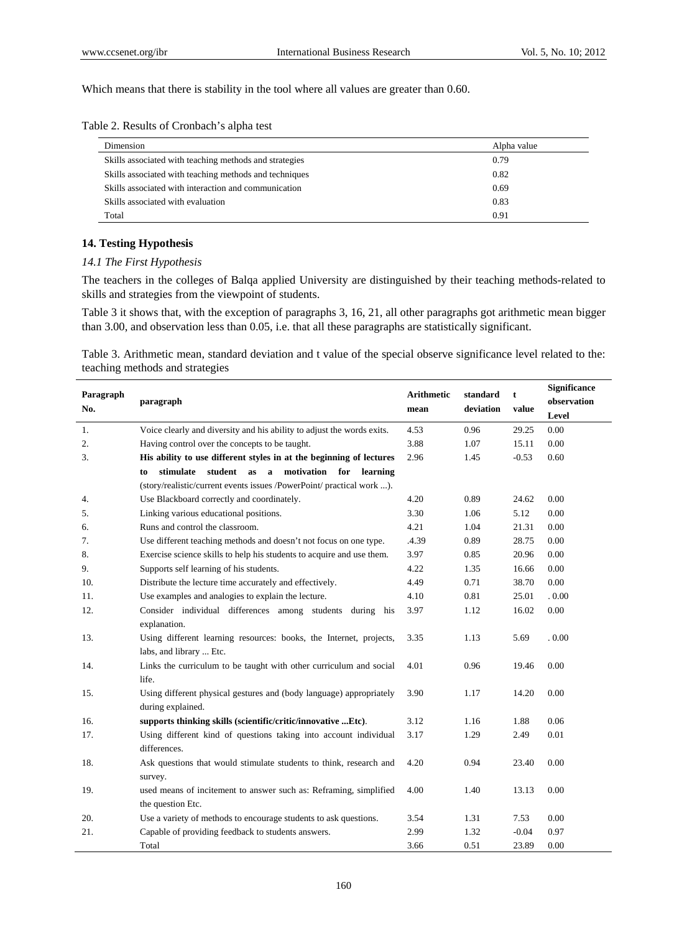Which means that there is stability in the tool where all values are greater than 0.60.

| Dimension                                              | Alpha value |
|--------------------------------------------------------|-------------|
| Skills associated with teaching methods and strategies | 0.79        |
| Skills associated with teaching methods and techniques | 0.82        |
| Skills associated with interaction and communication   | 0.69        |
| Skills associated with evaluation                      | 0.83        |
| Total                                                  | 0.91        |

# **14. Testing Hypothesis**

# *14.1 The First Hypothesis*

The teachers in the colleges of Balqa applied University are distinguished by their teaching methods-related to skills and strategies from the viewpoint of students.

Table 3 it shows that, with the exception of paragraphs 3, 16, 21, all other paragraphs got arithmetic mean bigger than 3.00, and observation less than 0.05, i.e. that all these paragraphs are statistically significant.

Table 3. Arithmetic mean, standard deviation and t value of the special observe significance level related to the: teaching methods and strategies

| Paragraph<br>No. | paragraph                                                                                     | <b>Arithmetic</b><br>mean | standard<br>deviation | t<br>value | Significance<br>observation<br>Level |
|------------------|-----------------------------------------------------------------------------------------------|---------------------------|-----------------------|------------|--------------------------------------|
| 1.               | Voice clearly and diversity and his ability to adjust the words exits.                        | 4.53                      | 0.96                  | 29.25      | 0.00                                 |
| 2.               | Having control over the concepts to be taught.                                                | 3.88                      | 1.07                  | 15.11      | 0.00                                 |
| 3.               | His ability to use different styles in at the beginning of lectures                           | 2.96                      | 1.45                  | $-0.53$    | 0.60                                 |
|                  | motivation<br>stimulate<br>student as<br>for<br>$\mathbf{a}$<br>learning<br>to                |                           |                       |            |                                      |
|                  | (story/realistic/current events issues /PowerPoint/ practical work ).                         |                           |                       |            |                                      |
| 4.               | Use Blackboard correctly and coordinately.                                                    | 4.20                      | 0.89                  | 24.62      | 0.00                                 |
| 5.               | Linking various educational positions.                                                        | 3.30                      | 1.06                  | 5.12       | 0.00                                 |
| 6.               | Runs and control the classroom.                                                               | 4.21                      | 1.04                  | 21.31      | 0.00                                 |
| 7.               | Use different teaching methods and doesn't not focus on one type.                             | .4.39                     | 0.89                  | 28.75      | 0.00                                 |
| 8.               | Exercise science skills to help his students to acquire and use them.                         | 3.97                      | 0.85                  | 20.96      | 0.00                                 |
| 9.               | Supports self learning of his students.                                                       | 4.22                      | 1.35                  | 16.66      | 0.00                                 |
| 10.              | Distribute the lecture time accurately and effectively.                                       | 4.49                      | 0.71                  | 38.70      | 0.00                                 |
| 11.              | Use examples and analogies to explain the lecture.                                            | 4.10                      | 0.81                  | 25.01      | .0.00                                |
| 12.              | Consider individual differences among students during his<br>explanation.                     | 3.97                      | 1.12                  | 16.02      | 0.00                                 |
| 13.              | Using different learning resources: books, the Internet, projects,<br>labs, and library  Etc. | 3.35                      | 1.13                  | 5.69       | .0.00                                |
| 14.              | Links the curriculum to be taught with other curriculum and social<br>life.                   | 4.01                      | 0.96                  | 19.46      | 0.00                                 |
| 15.              | Using different physical gestures and (body language) appropriately<br>during explained.      | 3.90                      | 1.17                  | 14.20      | 0.00                                 |
| 16.              | supports thinking skills (scientific/critic/innovative Etc).                                  | 3.12                      | 1.16                  | 1.88       | 0.06                                 |
| 17.              | Using different kind of questions taking into account individual<br>differences.              | 3.17                      | 1.29                  | 2.49       | 0.01                                 |
| 18.              | Ask questions that would stimulate students to think, research and<br>survey.                 | 4.20                      | 0.94                  | 23.40      | 0.00                                 |
| 19.              | used means of incitement to answer such as: Reframing, simplified<br>the question Etc.        | 4.00                      | 1.40                  | 13.13      | 0.00                                 |
| 20.              | Use a variety of methods to encourage students to ask questions.                              | 3.54                      | 1.31                  | 7.53       | 0.00                                 |
| 21.              | Capable of providing feedback to students answers.                                            | 2.99                      | 1.32                  | $-0.04$    | 0.97                                 |
|                  | Total                                                                                         | 3.66                      | 0.51                  | 23.89      | 0.00                                 |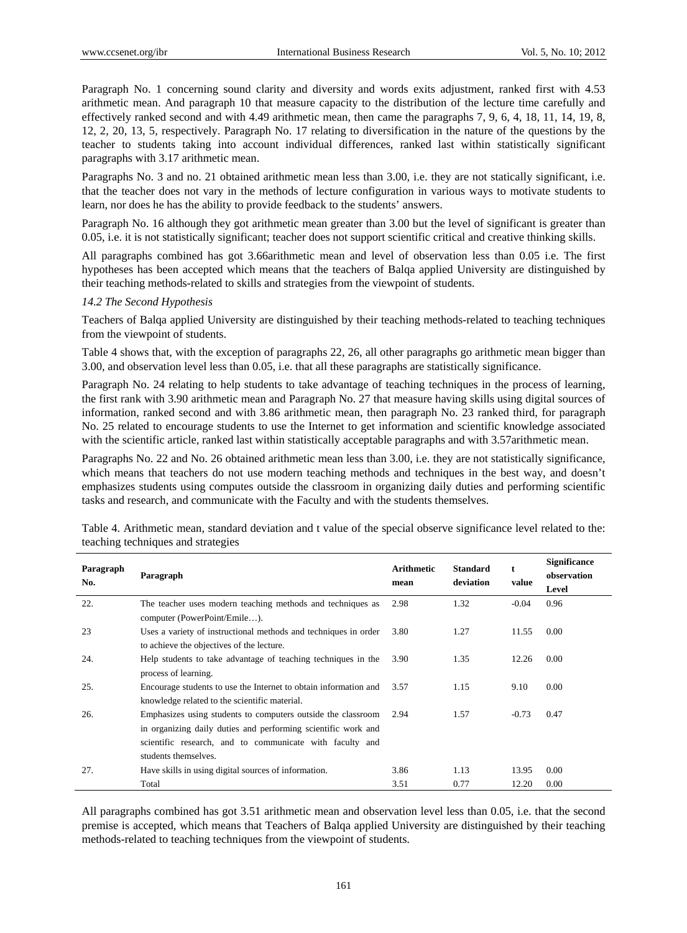Paragraph No. 1 concerning sound clarity and diversity and words exits adjustment, ranked first with 4.53 arithmetic mean. And paragraph 10 that measure capacity to the distribution of the lecture time carefully and effectively ranked second and with 4.49 arithmetic mean, then came the paragraphs 7, 9, 6, 4, 18, 11, 14, 19, 8, 12, 2, 20, 13, 5, respectively. Paragraph No. 17 relating to diversification in the nature of the questions by the teacher to students taking into account individual differences, ranked last within statistically significant paragraphs with 3.17 arithmetic mean.

Paragraphs No. 3 and no. 21 obtained arithmetic mean less than 3.00, i.e. they are not statically significant, i.e. that the teacher does not vary in the methods of lecture configuration in various ways to motivate students to learn, nor does he has the ability to provide feedback to the students' answers.

Paragraph No. 16 although they got arithmetic mean greater than 3.00 but the level of significant is greater than 0.05, i.e. it is not statistically significant; teacher does not support scientific critical and creative thinking skills.

All paragraphs combined has got 3.66arithmetic mean and level of observation less than 0.05 i.e. The first hypotheses has been accepted which means that the teachers of Balqa applied University are distinguished by their teaching methods-related to skills and strategies from the viewpoint of students.

## *14.2 The Second Hypothesis*

Teachers of Balqa applied University are distinguished by their teaching methods-related to teaching techniques from the viewpoint of students.

Table 4 shows that, with the exception of paragraphs 22, 26, all other paragraphs go arithmetic mean bigger than 3.00, and observation level less than 0.05, i.e. that all these paragraphs are statistically significance.

Paragraph No. 24 relating to help students to take advantage of teaching techniques in the process of learning, the first rank with 3.90 arithmetic mean and Paragraph No. 27 that measure having skills using digital sources of information, ranked second and with 3.86 arithmetic mean, then paragraph No. 23 ranked third, for paragraph No. 25 related to encourage students to use the Internet to get information and scientific knowledge associated with the scientific article, ranked last within statistically acceptable paragraphs and with 3.57arithmetic mean.

Paragraphs No. 22 and No. 26 obtained arithmetic mean less than 3.00, i.e. they are not statistically significance, which means that teachers do not use modern teaching methods and techniques in the best way, and doesn't emphasizes students using computes outside the classroom in organizing daily duties and performing scientific tasks and research, and communicate with the Faculty and with the students themselves.

| Paragraph<br>No. | Paragraph                                                                                                                                                                                                         | <b>Arithmetic</b><br>mean | <b>Standard</b><br>deviation | t<br>value | <b>Significance</b><br>observation<br>Level |
|------------------|-------------------------------------------------------------------------------------------------------------------------------------------------------------------------------------------------------------------|---------------------------|------------------------------|------------|---------------------------------------------|
| 22.              | The teacher uses modern teaching methods and techniques as<br>computer (PowerPoint/Emile).                                                                                                                        | 2.98                      | 1.32                         | $-0.04$    | 0.96                                        |
| 23               | Uses a variety of instructional methods and techniques in order<br>to achieve the objectives of the lecture.                                                                                                      | 3.80                      | 1.27                         | 11.55      | 0.00                                        |
| 24.              | Help students to take advantage of teaching techniques in the<br>process of learning.                                                                                                                             | 3.90                      | 1.35                         | 12.26      | 0.00                                        |
| 25.              | Encourage students to use the Internet to obtain information and<br>knowledge related to the scientific material.                                                                                                 | 3.57                      | 1.15                         | 9.10       | 0.00                                        |
| 26.              | Emphasizes using students to computers outside the classroom<br>in organizing daily duties and performing scientific work and<br>scientific research, and to communicate with faculty and<br>students themselves. | 2.94                      | 1.57                         | $-0.73$    | 0.47                                        |
| 27.              | Have skills in using digital sources of information.                                                                                                                                                              | 3.86                      | 1.13                         | 13.95      | 0.00                                        |
|                  | Total                                                                                                                                                                                                             | 3.51                      | 0.77                         | 12.20      | 0.00                                        |

Table 4. Arithmetic mean, standard deviation and t value of the special observe significance level related to the: teaching techniques and strategies

All paragraphs combined has got 3.51 arithmetic mean and observation level less than 0.05, i.e. that the second premise is accepted, which means that Teachers of Balqa applied University are distinguished by their teaching methods-related to teaching techniques from the viewpoint of students.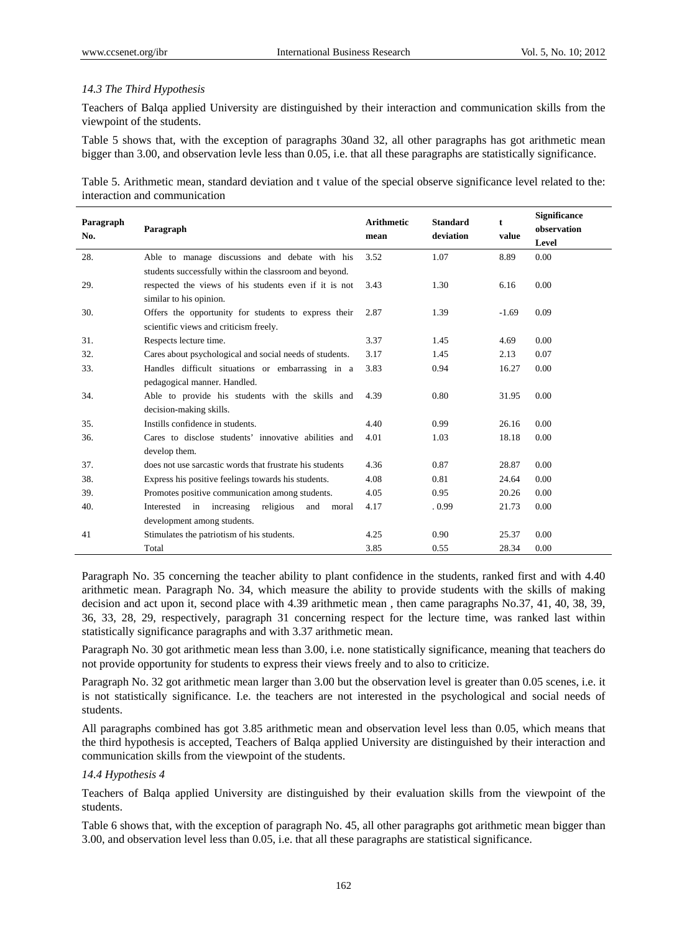# *14.3 The Third Hypothesis*

Teachers of Balqa applied University are distinguished by their interaction and communication skills from the viewpoint of the students.

Table 5 shows that, with the exception of paragraphs 30and 32, all other paragraphs has got arithmetic mean bigger than 3.00, and observation levle less than 0.05, i.e. that all these paragraphs are statistically significance.

Table 5. Arithmetic mean, standard deviation and t value of the special observe significance level related to the: interaction and communication

| Paragraph<br>No. | Paragraph                                                | <b>Arithmetic</b><br>mean | <b>Standard</b><br>deviation | t<br>value | <b>Significance</b><br>observation<br>Level |
|------------------|----------------------------------------------------------|---------------------------|------------------------------|------------|---------------------------------------------|
| 28.              | Able to manage discussions and debate with his           | 3.52                      | 1.07                         | 8.89       | 0.00                                        |
|                  | students successfully within the classroom and beyond.   |                           |                              |            |                                             |
| 29.              | respected the views of his students even if it is not    | 3.43                      | 1.30                         | 6.16       | 0.00                                        |
|                  | similar to his opinion.                                  |                           |                              |            |                                             |
| 30.              | Offers the opportunity for students to express their     | 2.87                      | 1.39                         | $-1.69$    | 0.09                                        |
|                  | scientific views and criticism freely.                   |                           |                              |            |                                             |
| 31.              | Respects lecture time.                                   | 3.37                      | 1.45                         | 4.69       | 0.00                                        |
| 32.              | Cares about psychological and social needs of students.  | 3.17                      | 1.45                         | 2.13       | 0.07                                        |
| 33.              | Handles difficult situations or embarrassing in a        | 3.83                      | 0.94                         | 16.27      | 0.00                                        |
|                  | pedagogical manner. Handled.                             |                           |                              |            |                                             |
| 34.              | Able to provide his students with the skills and         | 4.39                      | 0.80                         | 31.95      | 0.00                                        |
|                  | decision-making skills.                                  |                           |                              |            |                                             |
| 35.              | Instills confidence in students.                         | 4.40                      | 0.99                         | 26.16      | 0.00                                        |
| 36.              | Cares to disclose students' innovative abilities and     | 4.01                      | 1.03                         | 18.18      | 0.00                                        |
|                  | develop them.                                            |                           |                              |            |                                             |
| 37.              | does not use sarcastic words that frustrate his students | 4.36                      | 0.87                         | 28.87      | 0.00                                        |
| 38.              | Express his positive feelings towards his students.      | 4.08                      | 0.81                         | 24.64      | 0.00                                        |
| 39.              | Promotes positive communication among students.          | 4.05                      | 0.95                         | 20.26      | 0.00                                        |
| 40.              | Interested in increasing<br>religious<br>and<br>moral    | 4.17                      | .0.99                        | 21.73      | 0.00                                        |
|                  | development among students.                              |                           |                              |            |                                             |
| 41               | Stimulates the patriotism of his students.               | 4.25                      | 0.90                         | 25.37      | 0.00                                        |
|                  | Total                                                    | 3.85                      | 0.55                         | 28.34      | 0.00                                        |

Paragraph No. 35 concerning the teacher ability to plant confidence in the students, ranked first and with 4.40 arithmetic mean. Paragraph No. 34, which measure the ability to provide students with the skills of making decision and act upon it, second place with 4.39 arithmetic mean , then came paragraphs No.37, 41, 40, 38, 39, 36, 33, 28, 29, respectively, paragraph 31 concerning respect for the lecture time, was ranked last within statistically significance paragraphs and with 3.37 arithmetic mean.

Paragraph No. 30 got arithmetic mean less than 3.00, i.e. none statistically significance, meaning that teachers do not provide opportunity for students to express their views freely and to also to criticize.

Paragraph No. 32 got arithmetic mean larger than 3.00 but the observation level is greater than 0.05 scenes, i.e. it is not statistically significance. I.e. the teachers are not interested in the psychological and social needs of students.

All paragraphs combined has got 3.85 arithmetic mean and observation level less than 0.05, which means that the third hypothesis is accepted, Teachers of Balqa applied University are distinguished by their interaction and communication skills from the viewpoint of the students.

## *14.4 Hypothesis 4*

Teachers of Balqa applied University are distinguished by their evaluation skills from the viewpoint of the students.

Table 6 shows that, with the exception of paragraph No. 45, all other paragraphs got arithmetic mean bigger than 3.00, and observation level less than 0.05, i.e. that all these paragraphs are statistical significance.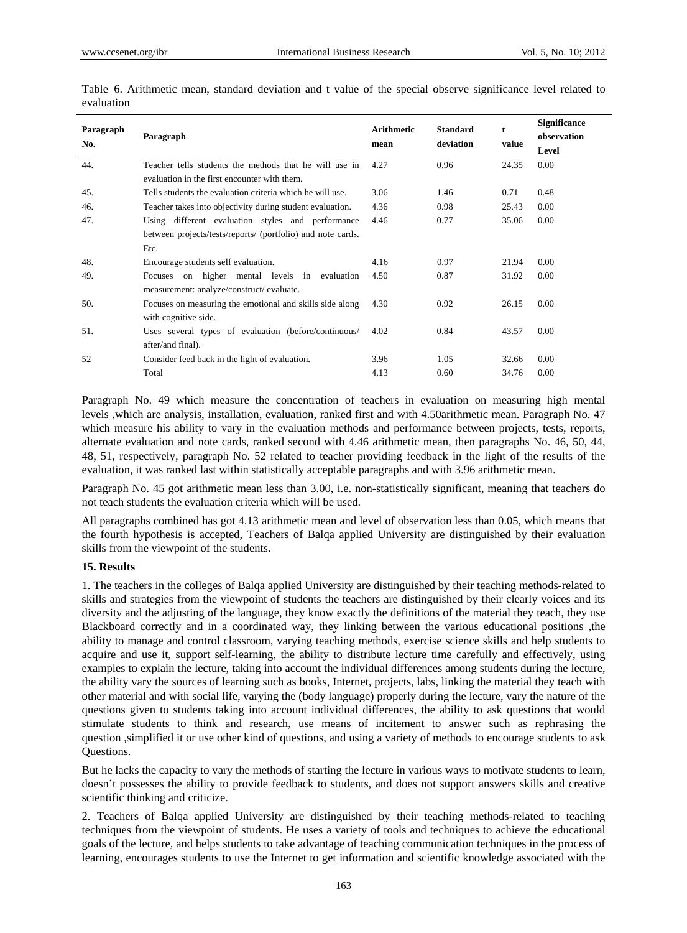| Paragraph<br>No. | Paragraph                                                   | <b>Arithmetic</b><br>mean | <b>Standard</b><br>deviation | t<br>value | <b>Significance</b><br>observation<br>Level |
|------------------|-------------------------------------------------------------|---------------------------|------------------------------|------------|---------------------------------------------|
| 44.              | Teacher tells students the methods that he will use in      | 4.27                      | 0.96                         | 24.35      | 0.00                                        |
|                  | evaluation in the first encounter with them.                |                           |                              |            |                                             |
| 45.              | Tells students the evaluation criteria which he will use.   | 3.06                      | 1.46                         | 0.71       | 0.48                                        |
| 46.              | Teacher takes into objectivity during student evaluation.   | 4.36                      | 0.98                         | 25.43      | 0.00                                        |
| 47.              | Using different evaluation styles and performance           | 4.46                      | 0.77                         | 35.06      | 0.00                                        |
|                  | between projects/tests/reports/ (portfolio) and note cards. |                           |                              |            |                                             |
|                  | Etc.                                                        |                           |                              |            |                                             |
| 48.              | Encourage students self evaluation.                         | 4.16                      | 0.97                         | 21.94      | 0.00                                        |
| 49.              | on higher mental levels in evaluation<br>Focuses            | 4.50                      | 0.87                         | 31.92      | 0.00                                        |
|                  | measurement: analyze/construct/ evaluate.                   |                           |                              |            |                                             |
| 50.              | Focuses on measuring the emotional and skills side along    | 4.30                      | 0.92                         | 26.15      | 0.00                                        |
|                  | with cognitive side.                                        |                           |                              |            |                                             |
| 51.              | Uses several types of evaluation (before/continuous/        | 4.02                      | 0.84                         | 43.57      | 0.00                                        |
|                  | after/and final).                                           |                           |                              |            |                                             |
| 52               | Consider feed back in the light of evaluation.              | 3.96                      | 1.05                         | 32.66      | 0.00                                        |
|                  | Total                                                       | 4.13                      | 0.60                         | 34.76      | 0.00                                        |

Table 6. Arithmetic mean, standard deviation and t value of the special observe significance level related to evaluation

Paragraph No. 49 which measure the concentration of teachers in evaluation on measuring high mental levels ,which are analysis, installation, evaluation, ranked first and with 4.50arithmetic mean. Paragraph No. 47 which measure his ability to vary in the evaluation methods and performance between projects, tests, reports, alternate evaluation and note cards, ranked second with 4.46 arithmetic mean, then paragraphs No. 46, 50, 44, 48, 51, respectively, paragraph No. 52 related to teacher providing feedback in the light of the results of the evaluation, it was ranked last within statistically acceptable paragraphs and with 3.96 arithmetic mean.

Paragraph No. 45 got arithmetic mean less than 3.00, i.e. non-statistically significant, meaning that teachers do not teach students the evaluation criteria which will be used.

All paragraphs combined has got 4.13 arithmetic mean and level of observation less than 0.05, which means that the fourth hypothesis is accepted, Teachers of Balqa applied University are distinguished by their evaluation skills from the viewpoint of the students.

## **15. Results**

1. The teachers in the colleges of Balqa applied University are distinguished by their teaching methods-related to skills and strategies from the viewpoint of students the teachers are distinguished by their clearly voices and its diversity and the adjusting of the language, they know exactly the definitions of the material they teach, they use Blackboard correctly and in a coordinated way, they linking between the various educational positions ,the ability to manage and control classroom, varying teaching methods, exercise science skills and help students to acquire and use it, support self-learning, the ability to distribute lecture time carefully and effectively, using examples to explain the lecture, taking into account the individual differences among students during the lecture, the ability vary the sources of learning such as books, Internet, projects, labs, linking the material they teach with other material and with social life, varying the (body language) properly during the lecture, vary the nature of the questions given to students taking into account individual differences, the ability to ask questions that would stimulate students to think and research, use means of incitement to answer such as rephrasing the question ,simplified it or use other kind of questions, and using a variety of methods to encourage students to ask Questions.

But he lacks the capacity to vary the methods of starting the lecture in various ways to motivate students to learn, doesn't possesses the ability to provide feedback to students, and does not support answers skills and creative scientific thinking and criticize.

2. Teachers of Balqa applied University are distinguished by their teaching methods-related to teaching techniques from the viewpoint of students. He uses a variety of tools and techniques to achieve the educational goals of the lecture, and helps students to take advantage of teaching communication techniques in the process of learning, encourages students to use the Internet to get information and scientific knowledge associated with the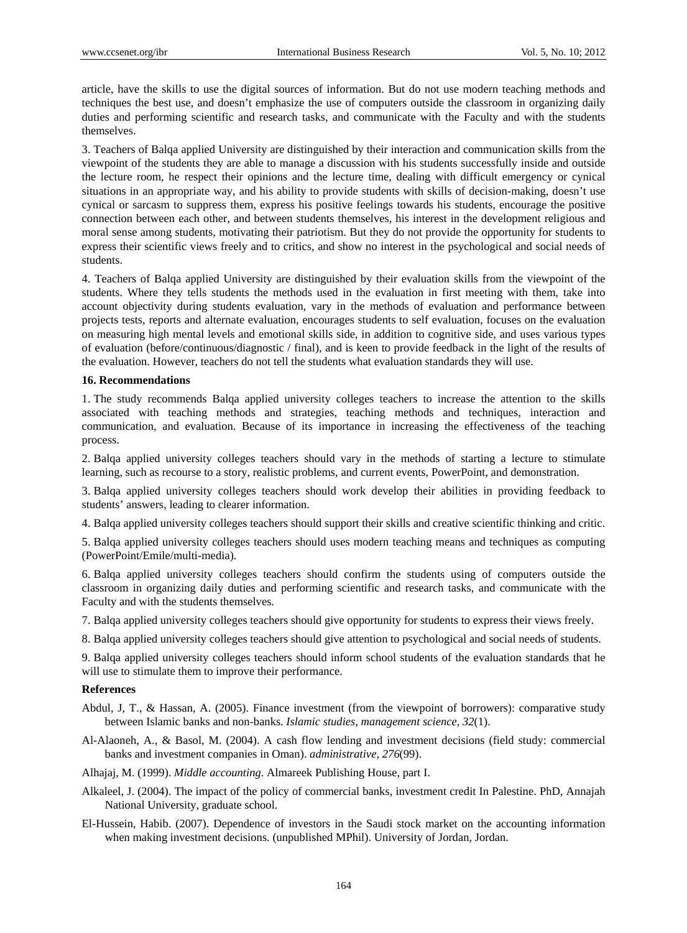article, have the skills to use the digital sources of information. But do not use modern teaching methods and techniques the best use, and doesn't emphasize the use of computers outside the classroom in organizing daily duties and performing scientific and research tasks, and communicate with the Faculty and with the students themselves.

3. Teachers of Balqa applied University are distinguished by their interaction and communication skills from the viewpoint of the students they are able to manage a discussion with his students successfully inside and outside the lecture room, he respect their opinions and the lecture time, dealing with difficult emergency or cynical situations in an appropriate way, and his ability to provide students with skills of decision-making, doesn't use cynical or sarcasm to suppress them, express his positive feelings towards his students, encourage the positive connection between each other, and between students themselves, his interest in the development religious and moral sense among students, motivating their patriotism. But they do not provide the opportunity for students to express their scientific views freely and to critics, and show no interest in the psychological and social needs of students.

4. Teachers of Balqa applied University are distinguished by their evaluation skills from the viewpoint of the students. Where they tells students the methods used in the evaluation in first meeting with them, take into account objectivity during students evaluation, vary in the methods of evaluation and performance between projects tests, reports and alternate evaluation, encourages students to self evaluation, focuses on the evaluation on measuring high mental levels and emotional skills side, in addition to cognitive side, and uses various types of evaluation (before/continuous/diagnostic / final), and is keen to provide feedback in the light of the results of the evaluation. However, teachers do not tell the students what evaluation standards they will use.

## **16. Recommendations**

1. The study recommends Balqa applied university colleges teachers to increase the attention to the skills associated with teaching methods and strategies, teaching methods and techniques, interaction and communication, and evaluation. Because of its importance in increasing the effectiveness of the teaching process.

2. Balqa applied university colleges teachers should vary in the methods of starting a lecture to stimulate learning, such as recourse to a story, realistic problems, and current events, PowerPoint, and demonstration.

3. Balqa applied university colleges teachers should work develop their abilities in providing feedback to students' answers, leading to clearer information.

4. Balqa applied university colleges teachers should support their skills and creative scientific thinking and critic.

5. Balqa applied university colleges teachers should uses modern teaching means and techniques as computing (PowerPoint/Emile/multi-media).

6. Balqa applied university colleges teachers should confirm the students using of computers outside the classroom in organizing daily duties and performing scientific and research tasks, and communicate with the Faculty and with the students themselves.

7. Balqa applied university colleges teachers should give opportunity for students to express their views freely.

8. Balqa applied university colleges teachers should give attention to psychological and social needs of students.

9. Balqa applied university colleges teachers should inform school students of the evaluation standards that he will use to stimulate them to improve their performance.

## **References**

- Abdul, J, T., & Hassan, A. (2005). Finance investment (from the viewpoint of borrowers): comparative study between Islamic banks and non-banks. *Islamic studies, management science, 32*(1).
- Al-Alaoneh, A., & Basol, M. (2004). A cash flow lending and investment decisions (field study: commercial banks and investment companies in Oman). *administrative, 276*(99).

Alhajaj, M. (1999). *Middle accounting*. Almareek Publishing House, part I.

- Alkaleel, J. (2004). The impact of the policy of commercial banks, investment credit In Palestine. PhD, Annajah National University, graduate school.
- El-Hussein, Habib. (2007). Dependence of investors in the Saudi stock market on the accounting information when making investment decisions. (unpublished MPhil). University of Jordan, Jordan.